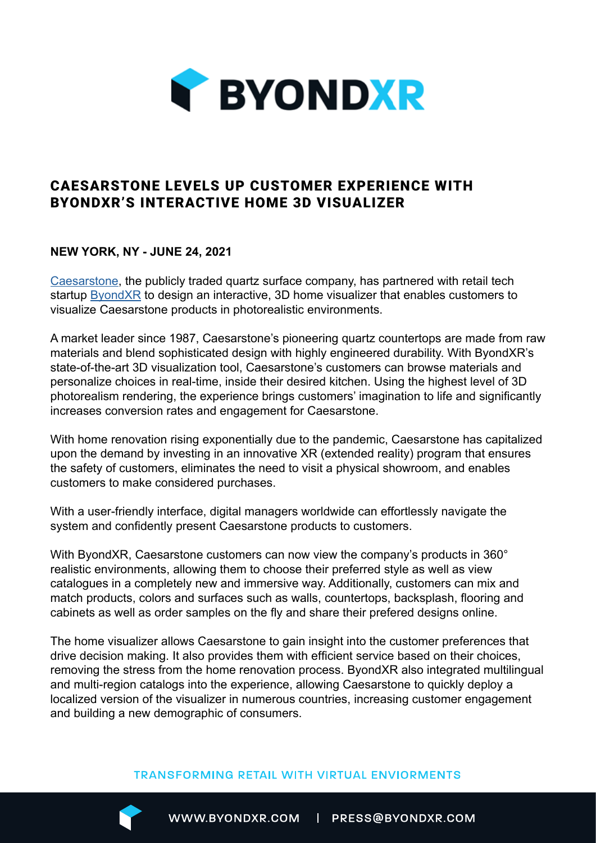

# CAESARSTONE LEVELS UP CUSTOMER EXPERIENCE WITH BYONDXR'S INTERACTIVE HOME 3D VISUALIZER

### **NEW YORK, NY - JUNE 24, 2021**

[Caesarstone](https://www.caesarstoneus.com), the publicly traded quartz surface company, has partnered with retail tech startup [ByondXR](https://www.byondxr.com/) to design an interactive, 3D home visualizer that enables customers to visualize Caesarstone products in photorealistic environments.

A market leader since 1987, Caesarstone's pioneering quartz countertops are made from raw materials and blend sophisticated design with highly engineered durability. With ByondXR's state-of-the-art 3D visualization tool, Caesarstone's customers can browse materials and personalize choices in real-time, inside their desired kitchen. Using the highest level of 3D photorealism rendering, the experience brings customers' imagination to life and significantly increases conversion rates and engagement for Caesarstone.

With home renovation rising exponentially due to the pandemic, Caesarstone has capitalized upon the demand by investing in an innovative XR (extended reality) program that ensures the safety of customers, eliminates the need to visit a physical showroom, and enables customers to make considered purchases.

With a user-friendly interface, digital managers worldwide can effortlessly navigate the system and confidently present Caesarstone products to customers.

With ByondXR, Caesarstone customers can now view the company's products in 360° realistic environments, allowing them to choose their preferred style as well as view catalogues in a completely new and immersive way. Additionally, customers can mix and match products, colors and surfaces such as walls, countertops, backsplash, flooring and cabinets as well as order samples on the fly and share their prefered designs online.

The home visualizer allows Caesarstone to gain insight into the customer preferences that drive decision making. It also provides them with efficient service based on their choices, removing the stress from the home renovation process. ByondXR also integrated multilingual and multi-region catalogs into the experience, allowing Caesarstone to quickly deploy a localized version of the visualizer in numerous countries, increasing customer engagement and building a new demographic of consumers.

#### **TRANSFORMING RETAIL WITH VIRTUAL ENVIORMENTS**